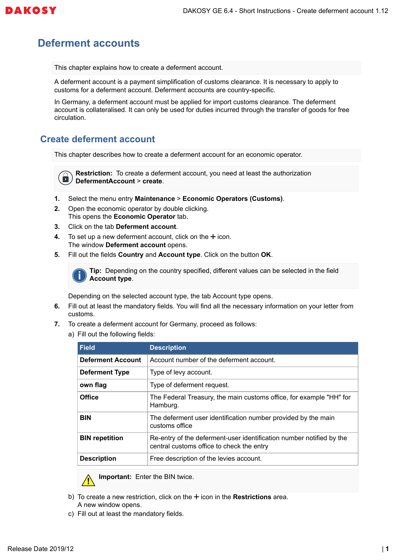

## **Deferment accounts**

This chapter explains how to create a deferment account.

A deferment account is a payment simplification of customs clearance. It is necessary to apply to customs for a deferment account. Deferment accounts are country-specific.

In Germany, a deferment account must be applied for import customs clearance. The deferment account is collateralised. It can only be used for duties incurred through the transfer of goods for free circulation.

## **Create deferment account**

This chapter describes how to create a deferment account for an economic operator.

**Restriction:** To create a deferment account, you need at least the authorization  $\blacksquare$ **DefermentAccount** > **create**.

- **1.** Select the menu entry **Maintenance** > **Economic Operators (Customs)**.
- **2.** Open the economic operator by double clicking. This opens the **Economic Operator** tab.
- **3.** Click on the tab **Deferment account**.
- **4.** To set up a new deferment account, click on the  $+$  icon. The window **Deferment account** opens.
- **5.** Fill out the fields **Country** and **Account type**. Click on the button **OK**.



**Tip:** Depending on the country specified, different values can be selected in the field **Account type**.

Depending on the selected account type, the tab Account type opens.

- **6.** Fill out at least the mandatory fields. You will find all the necessary information on your letter from customs.
- **7.** To create a deferment account for Germany, proceed as follows:
	- a) Fill out the following fields:

| Field                    | <b>Description</b>                                                                                                |
|--------------------------|-------------------------------------------------------------------------------------------------------------------|
| <b>Deferment Account</b> | Account number of the deferment account.                                                                          |
| <b>Deferment Type</b>    | Type of levy account.                                                                                             |
| own flag                 | Type of deferment request.                                                                                        |
| <b>Office</b>            | The Federal Treasury, the main customs office, for example "HH" for<br>Hamburg.                                   |
| <b>BIN</b>               | The deferment user identification number provided by the main<br>customs office                                   |
| <b>BIN</b> repetition    | Re-entry of the deferment-user identification number notified by the<br>central customs office to check the entry |
| <b>Description</b>       | Free description of the levies account.                                                                           |



**Important:** Enter the BIN twice.

- b) To create a new restriction, click on the  $+$  icon in the **Restrictions** area. A new window opens.
- c) Fill out at least the mandatory fields.